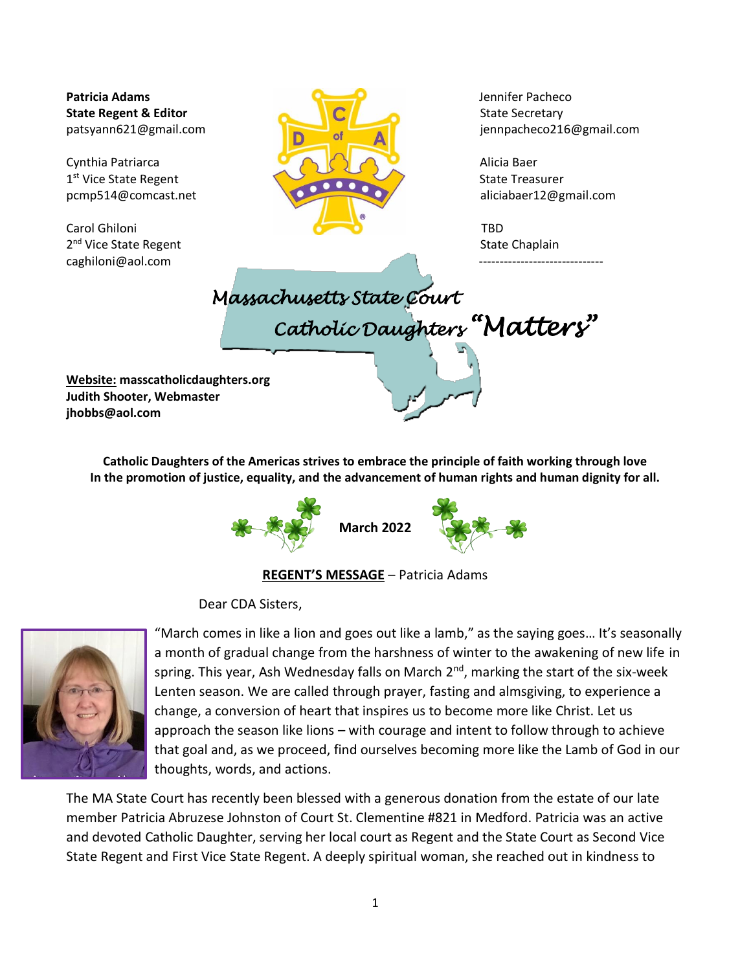2<sup>nd</sup> Vice State Regent **State Chaplain** 2<sup>nd</sup> Vice State Chaplain [caghiloni@aol.com](mailto:caghiloni@aol.com)



patsyann621@gmail.com jennpacheco216@gmail.com



**Website: masscatholicdaughters.org Judith Shooter, Webmaster jhobbs@aol.com**

> **Catholic Daughters of the Americas strives to embrace the principle of faith working through love In the promotion of justice, equality, and the advancement of human rights and human dignity for all.**



**[REGE](http://pngimg.com/download/75419)NT'S MESSAGE** – Patrici[a Adams](http://pngimg.com/download/75419)

Dear CDA Sisters,



"March come[s in like a](https://creativecommons.org/licenses/by-nc/3.0/) lion and goes out like a lamb," as the saying goes… It's seasonally a month of gradual change from the harshness of winter to the awakening of new life in spring. This year, Ash Wednesday falls on March  $2<sup>nd</sup>$ , marking the start of the six-week Lenten season. We are called through prayer, fasting and almsgiving, to experience a change, a conversion of heart that inspires us to become more like Christ. Let us approach the season like lions – with courage and intent to follow through to achieve that goal and, as we proceed, find ourselves becoming more like the Lamb of God in our thoughts, words, and actions.

The MA State Court has recently been blessed with a generous donation from the estate of our late member Patricia Abruzese Johnston of Court St. Clementine #821 in Medford. Patricia was an active and devoted Catholic Daughter, serving her local court as Regent and the State Court as Second Vice State Regent and First Vice State Regent. A deeply spiritual woman, she reached out in kindness to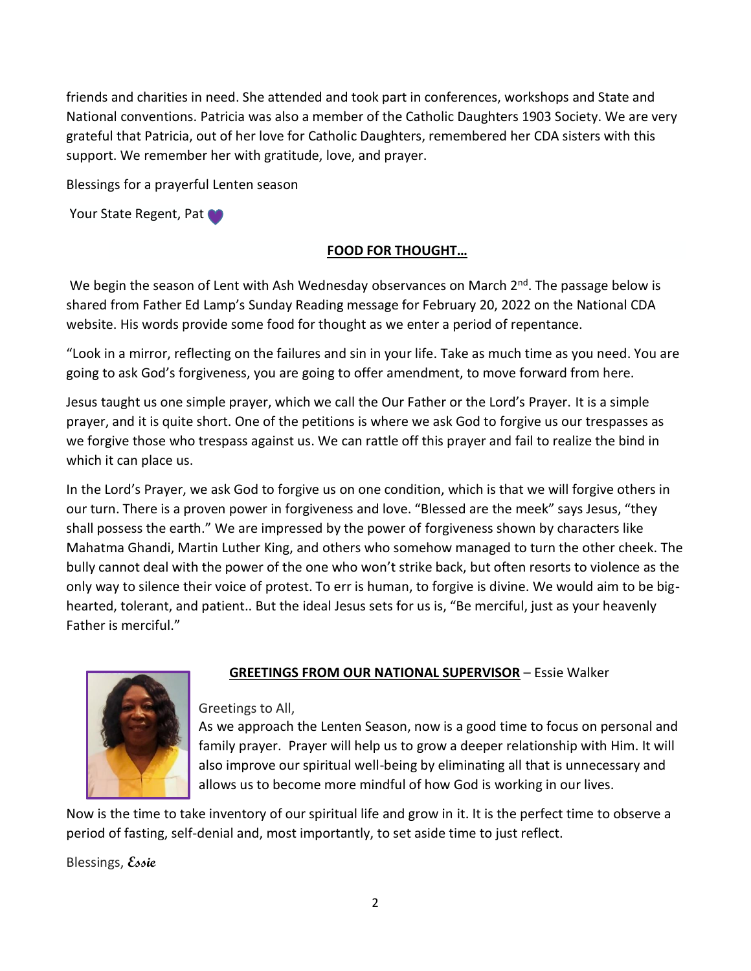friends and charities in need. She attended and took part in conferences, workshops and State and National conventions. Patricia was also a member of the Catholic Daughters 1903 Society. We are very grateful that Patricia, out of her love for Catholic Daughters, remembered her CDA sisters with this support. We remember her with gratitude, love, and prayer.

Blessings for a prayerful Lenten season

Your State Regent, Pat

## **FOOD FOR THOUGHT…**

We begin the season of Lent with Ash Wednesday observances on March  $2^{nd}$ . The passage below is shared from Father Ed Lamp's Sunday Reading message for February 20, 2022 on the National CDA website. His words provide some food for thought as we enter a period of repentance.

"Look in a mirror, reflecting on the failures and sin in your life. Take as much time as you need. You are going to ask God's forgiveness, you are going to offer amendment, to move forward from here.

Jesus taught us one simple prayer, which we call the Our Father or the Lord's Prayer. It is a simple prayer, and it is quite short. One of the petitions is where we ask God to forgive us our trespasses as we forgive those who trespass against us. We can rattle off this prayer and fail to realize the bind in which it can place us.

In the Lord's Prayer, we ask God to forgive us on one condition, which is that we will forgive others in our turn. There is a proven power in forgiveness and love. "Blessed are the meek" says Jesus, "they shall possess the earth." We are impressed by the power of forgiveness shown by characters like Mahatma Ghandi, Martin Luther King, and others who somehow managed to turn the other cheek. The bully cannot deal with the power of the one who won't strike back, but often resorts to violence as the only way to silence their voice of protest. To err is human, to forgive is divine. We would aim to be bighearted, tolerant, and patient.. But the ideal Jesus sets for us is, "Be merciful, just as your heavenly Father is merciful."



# **GREETINGS FROM OUR NATIONAL SUPERVISOR** – Essie Walker

Greetings to All,

As we approach the Lenten Season, now is a good time to focus on personal and family prayer. Prayer will help us to grow a deeper relationship with Him. It will also improve our spiritual well-being by eliminating all that is unnecessary and allows us to become more mindful of how God is working in our lives.

Now is the time to take inventory of our spiritual life and grow in it. It is the perfect time to observe a period of fasting, self-denial and, most importantly, to set aside time to just reflect.

Blessings, **Essie**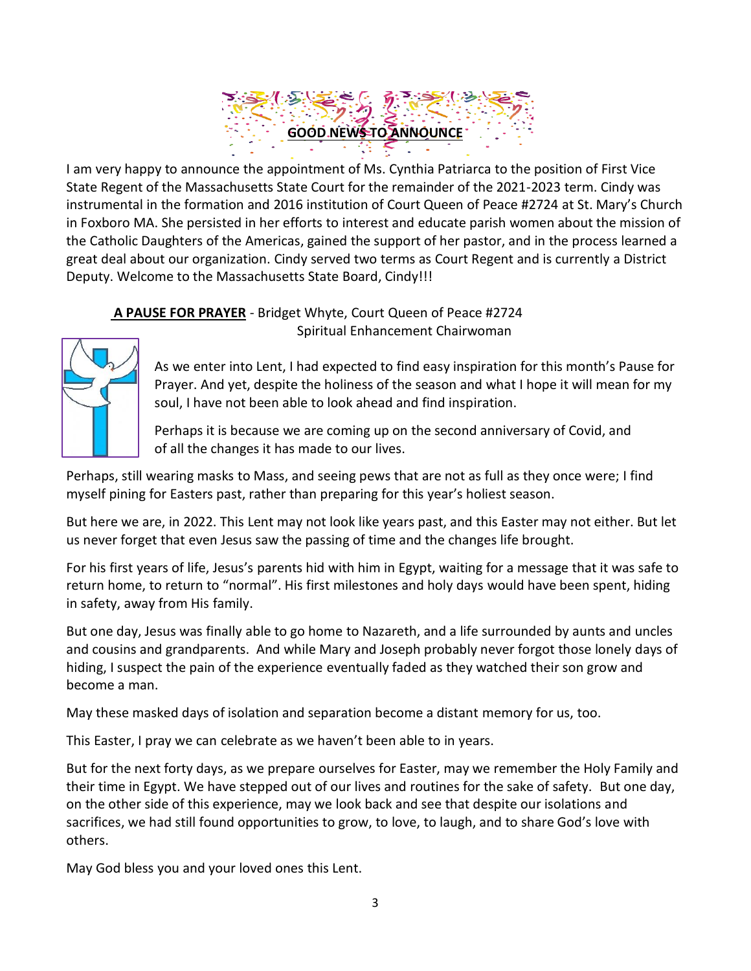# **GOOD NEWS TO ANNOUNCE**

State Regent of the Massachusetts State Court for the remainder of the 2021-2023 term. Cindy was I am very happy to announce the appointment of Ms. Cynthia Patriarca to the position of First Vice instrumental in the format[ion and 20](http://www.pngall.com/celebration-png)16 institution of Court Que[en of Pe](https://creativecommons.org/licenses/by-nc/3.0/)ace #2724 at St. Mary's Church in Foxboro MA. She persisted in her efforts to interest and educate parish women about the mission of the Catholic Daughters of the Americas, gained the support of her pastor, and in the process learned a great deal about our organization. Cindy served two terms as Court Regent and is currently a District Deputy. Welcome to the Massachusetts State Board, Cindy!!!

#### **A PAUSE FOR PRAYER** - Bridget Whyte, Court Queen of Peace #2724 Spiritual Enhancement Chairwoman



As we enter into Lent, I had expected to find easy inspiration for this month's Pause for Prayer. And yet, despite the holiness of the season and what I hope it will mean for my soul, I have not been able to look ahead and find inspiration.

Perhaps it is because we are coming up on the second anniversary of Covid, and of all the changes it has made to our lives.

Perhaps, still wearing masks to Mass, and seeing pews that are not as full as they once were; I find myself pining for Easters past, rather than preparing for this year's holiest season.

But here we are, in 2022. This Lent may not look like years past, and this Easter may not either. But let us never forget that even Jesus saw the passing of time and the changes life brought.

For his first years of life, Jesus's parents hid with him in Egypt, waiting for a message that it was safe to return home, to return to "normal". His first milestones and holy days would have been spent, hiding in safety, away from His family.

But one day, Jesus was finally able to go home to Nazareth, and a life surrounded by aunts and uncles and cousins and grandparents. And while Mary and Joseph probably never forgot those lonely days of hiding, I suspect the pain of the experience eventually faded as they watched their son grow and become a man.

May these masked days of isolation and separation become a distant memory for us, too.

This Easter, I pray we can celebrate as we haven't been able to in years.

But for the next forty days, as we prepare ourselves for Easter, may we remember the Holy Family and their time in Egypt. We have stepped out of our lives and routines for the sake of safety. But one day, on the other side of this experience, may we look back and see that despite our isolations and sacrifices, we had still found opportunities to grow, to love, to laugh, and to share God's love with others.

May God bless you and your loved ones this Lent.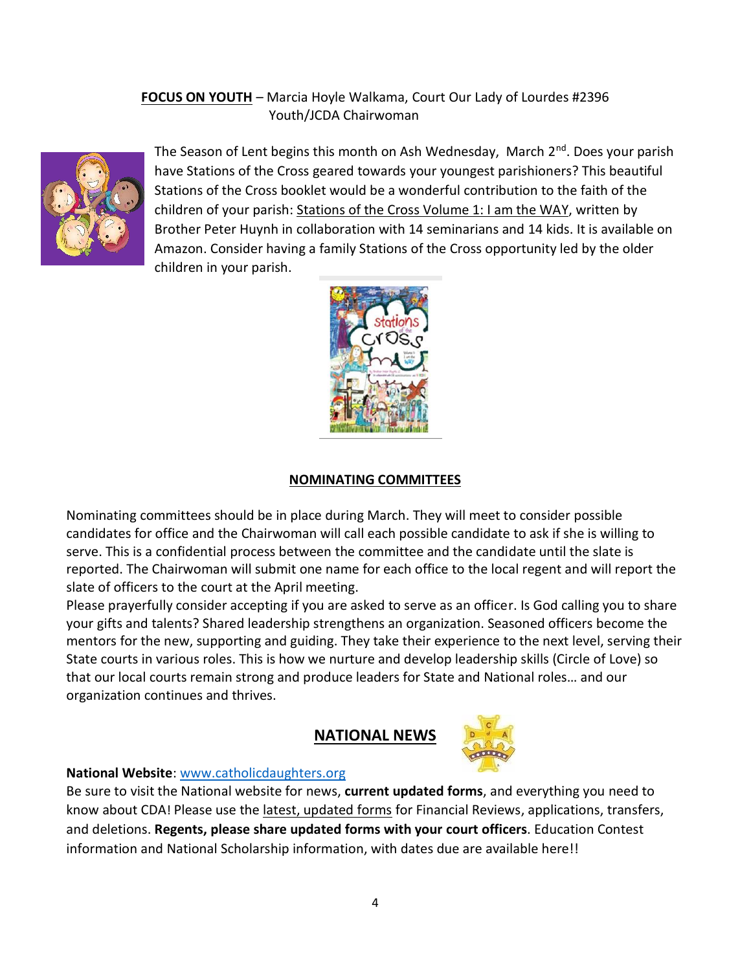## **FOCUS ON YOUTH** – Marcia Hoyle Walkama, Court Our Lady of Lourdes #2396 Youth/JCDA Chairwoman



The Season of Lent begins this month on Ash Wednesday, March  $2^{nd}$ . Does your parish have Stations of the Cross geared towards your youngest parishioners? This beautiful Stations of the Cross booklet would be a wonderful contribution to the faith of the children of your parish: Stations of the Cross Volume 1: I am the WAY, written by Brother Peter Huynh in collaboration with 14 seminarians and 14 kids. It is available on Amazon. Consider having a family Stations of the Cross opportunity led by the older children in your parish.



## **NOMINATING COMMITTEES**

Nominating committees should be in place during March. They will meet to consider possible candidates for office and the Chairwoman will call each possible candidate to ask if she is willing to serve. This is a confidential process between the committee and the candidate until the slate is reported. The Chairwoman will submit one name for each office to the local regent and will report the slate of officers to the court at the April meeting.

Please prayerfully consider accepting if you are asked to serve as an officer. Is God calling you to share your gifts and talents? Shared leadership strengthens an organization. Seasoned officers become the mentors for the new, supporting and guiding. They take their experience to the next level, serving their State courts in various roles. This is how we nurture and develop leadership skills (Circle of Love) so that our local courts remain strong and produce leaders for State and National roles… and our organization continues and thrives.

## **NATIONAL NEWS**



#### **National Website**[: www.catholicdaughters.org](http://www.catholicdaughters.org/)

Be sure to visit the National website for news, **current updated forms**, and everything you need to know about CDA! Please use the latest, updated forms for Financial Reviews, applications, transfers, and deletions. **Regents, please share updated forms with your court officers**. Education Contest information and National Scholarship information, with dates due are available here!!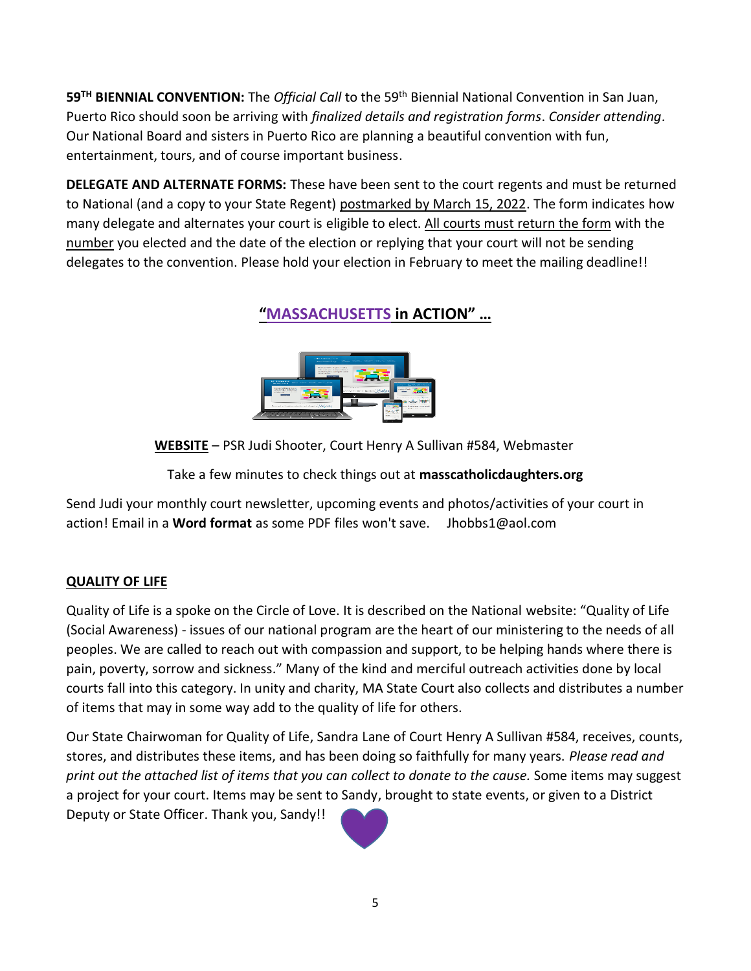**59TH BIENNIAL CONVENTION:** The *Official Call* to the 59th Biennial National Convention in San Juan, Puerto Rico should soon be arriving with *finalized details and registration forms*. *Consider attending*. Our National Board and sisters in Puerto Rico are planning a beautiful convention with fun, entertainment, tours, and of course important business.

**DELEGATE AND ALTERNATE FORMS:** These have been sent to the court regents and must be returned to National (and a copy to your State Regent) postmarked by March 15, 2022. The form indicates how many delegate and alternates your court is eligible to elect. All courts must return the form with the number you elected and the date of the election or replying that your court will not be sending delegates to the convention. Please hold your election in February to meet the mailing deadline!!

# **"MASSACHUSETTS in ACTION" …**



**WEBSITE** – PSR J[udi Shoote](http://www.pngall.com/website-png)r[, Court H](https://creativecommons.org/licenses/by-nc/3.0/)enry A Sullivan #584, Webmaster

Take a few minutes to check things out at **masscatholicdaughters.org**

Send Judi your monthly court newsletter, upcoming events and photos/activities of your court in action! Email in a **Word format** as some PDF files won't save. Jhobbs1@aol.com

## **QUALITY OF LIFE**

Quality of Life is a spoke on the Circle of Love. It is described on the National website: "Quality of Life (Social Awareness) - issues of our national program are the heart of our ministering to the needs of all peoples. We are called to reach out with compassion and support, to be helping hands where there is pain, poverty, sorrow and sickness." Many of the kind and merciful outreach activities done by local courts fall into this category. In unity and charity, MA State Court also collects and distributes a number of items that may in some way add to the quality of life for others.

Our State Chairwoman for Quality of Life, Sandra Lane of Court Henry A Sullivan #584, receives, counts, stores, and distributes these items, and has been doing so faithfully for many years. *Please read and print out the attached list of items that you can collect to donate to the cause.* Some items may suggest a project for your court. Items may be sent to Sandy, brought to state events, or given to a District Deputy or State Officer. Thank you, Sandy!!

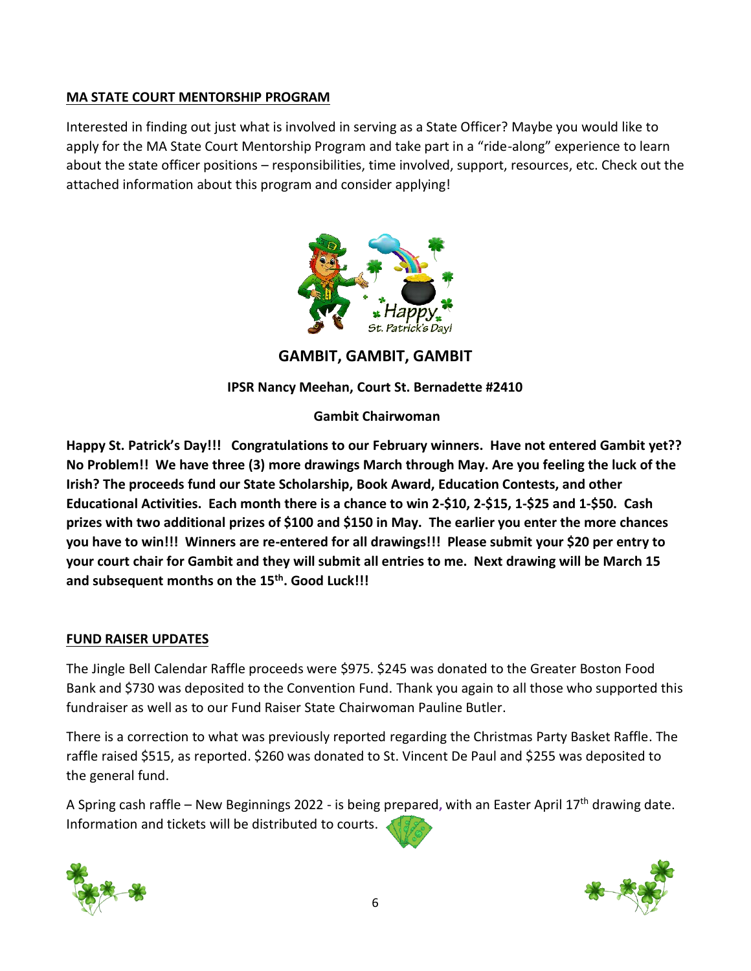## **MA STATE COURT MENTORSHIP PROGRAM**

Interested in finding out just what is involved in serving as a State Officer? Maybe you would like to apply for the MA State Court Mentorship Program and take part in a "ride-along" experience to learn about the state officer positions – responsibilities, time involved, support, resources, etc. Check out the attached information about this program and consider applying!



**GAMBIT, GAMBIT, GAMBIT**

## **IPSR Nancy Meehan, Court St. Bernadette #2410**

## **Gambit Chairwoman**

**Happy St. Patrick's Day!!! Congratulations to our February winners. Have not entered Gambit yet?? No Problem!! We have three (3) more drawings March through May. Are you feeling the luck of the Irish? The proceeds fund our State Scholarship, Book Award, Education Contests, and other Educational Activities. Each month there is a chance to win 2-\$10, 2-\$15, 1-\$25 and 1-\$50. Cash prizes with two additional prizes of \$100 and \$150 in May. The earlier you enter the more chances you have to win!!! Winners are re-entered for all drawings!!! Please submit your \$20 per entry to your court chair for Gambit and they will submit all entries to me. Next drawing will be March 15 and subsequent months on the 15th. Good Luck!!!** 

## **FUND RAISER UPDATES**

The Jingle Bell Calendar Raffle proceeds were \$975. \$245 was donated to the Greater Boston Food Bank and \$730 was deposited to the Convention Fund. Thank you again to all those who supported this fundraiser as well as to our Fund Raiser State Chairwoman Pauline Butler.

There is a correction to what was previously reported regarding the Christmas Party Basket Raffle. The raffle raised \$515, as reported. \$260 was donated to St. Vincent De Paul and \$255 was deposited to the general fund.

A Spring cash raffle – New Beginnings 2022 - is being prepared**,** with an Easter April 17th drawing date. Information and tickets will be distributed to courts.



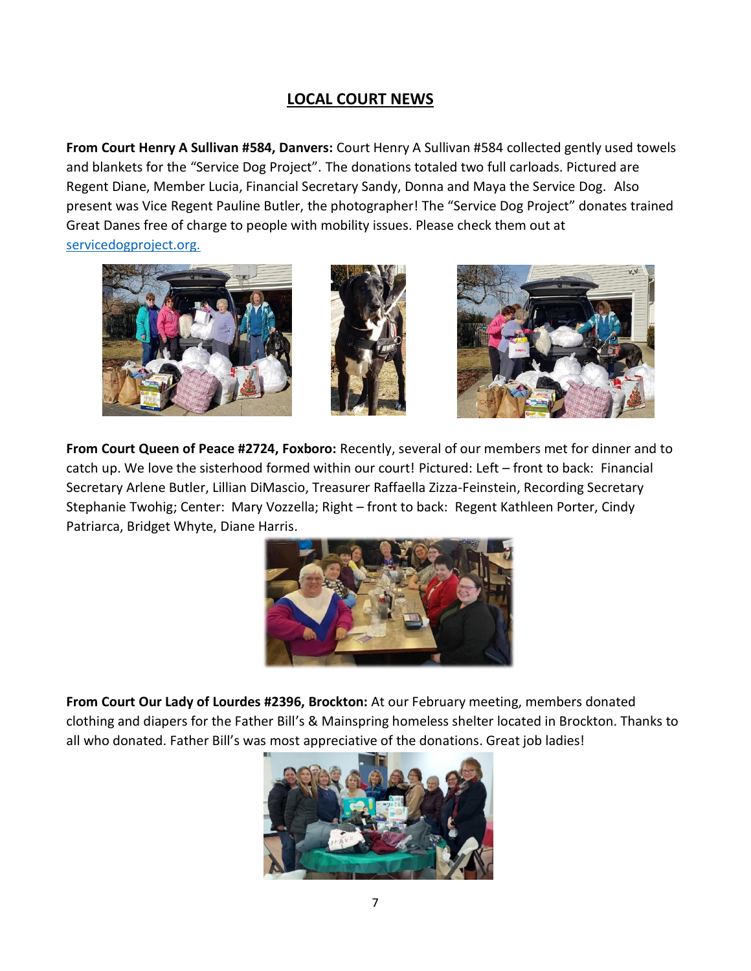# **LOCAL COURT NEWS**

**From Court Henry A Sullivan #584, Danvers:** Court Henry A Sullivan #584 collected gently used towels and blankets for the "Service Dog Project". The donations totaled two full carloads. Pictured are Regent Diane, Member Lucia, Financial Secretary Sandy, Donna and Maya the Service Dog. Also present was Vice Regent Pauline Butler, the photographer! The "Service Dog Project" donates trained Great Danes free of charge to people with mobility issues. Please check them out at [servicedogproject.org.](https://l.facebook.com/l.php?u=http%3A%2F%2Fservicedogproject.org%2F%3Ffbclid%3DIwAR1_-XupnirSJxX4egfezKDB8qiCRLhJsCEqbQ_Pv5bfAJpN6OdAEt7KmdQ&h=AT3RHJ_Q_5s6Vg0ruVDdJ6ZrLjlSoUX_AM1-iDYsb60kQzR_vfD7PbbV2Y79juiPjji2DWk7FWYYsKwMUbJ-Kz57dMToVJDmOD5Otxhbqjxp7g9ZHENf4dljqF2X21bKVg&__tn__=-UK-y-R&c%5b0%5d=AT1s_hbsr8DJPCCp9reZy-XgTEGeMGKPm2_OxN85GYyMChNRo7xsr20x7OQWEKLQ50H3qWFyAkkDafGOk9HAw9pSL2qqUhTAAiiEWu-KlKEP4WEzJtxJzJWJ5cEntU1RsTauM6ryb9cklKsyet2DqE76dHZnI5S0aJlcacjG056MnPC1aNJe2seunFtdibV7aRW8Fgw)



**From Court Queen of Peace #2724, Foxboro:** Recently, several of our members met for dinner and to catch up. We love the sisterhood formed within our court! Pictured: Left – front to back: Financial Secretary Arlene Butler, Lillian DiMascio, Treasurer Raffaella Zizza-Feinstein, Recording Secretary Stephanie Twohig; Center: Mary Vozzella; Right – front to back: Regent Kathleen Porter, Cindy Patriarca, Bridget Whyte, Diane Harris.



**From Court Our Lady of Lourdes #2396, Brockton:** At our February meeting, members donated clothing and diapers for the Father Bill's & Mainspring homeless shelter located in Brockton. Thanks to all who donated. Father Bill's was most appreciative of the donations. Great job ladies!

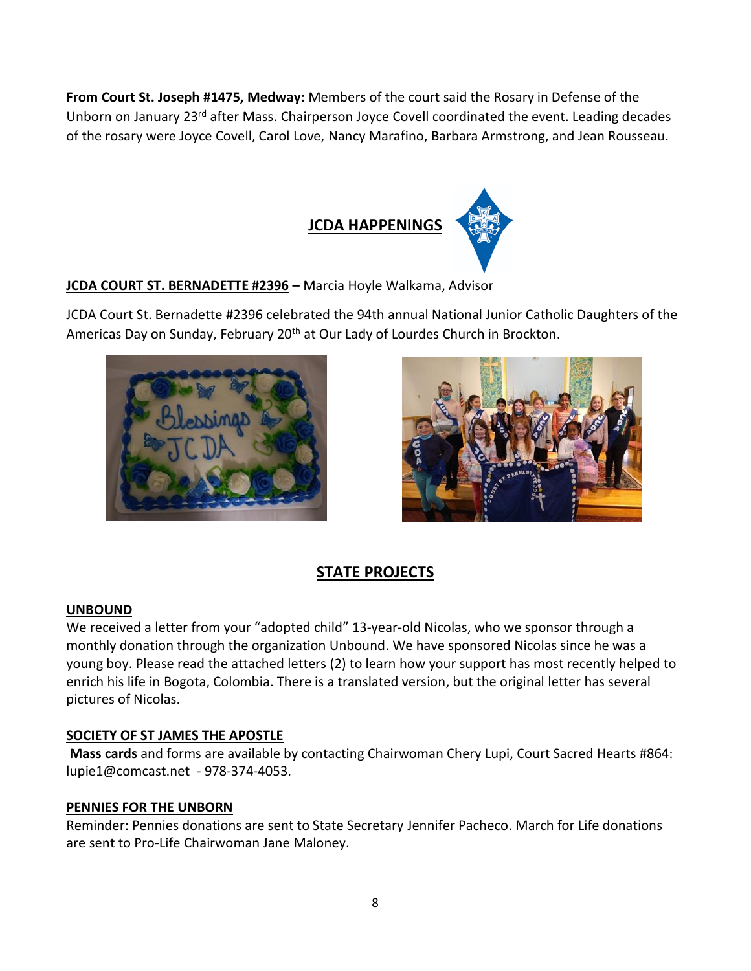**From Court St. Joseph #1475, Medway:** Members of the court said the Rosary in Defense of the Unborn on January 23<sup>rd</sup> after Mass. Chairperson Joyce Covell coordinated the event. Leading decades of the rosary were Joyce Covell, Carol Love, Nancy Marafino, Barbara Armstrong, and Jean Rousseau.



## **JCDA COURT ST. BERNADETTE #2396 –** Marcia Hoyle Walkama, Advisor

JCDA Court St. Bernadette #2396 celebrated the 94th annual National Junior Catholic Daughters of the Americas Day on Sunday, February 20<sup>th</sup> at Our Lady of Lourdes Church in Brockton.





# **STATE PROJECTS**

## **UNBOUND**

We received a letter from your "adopted child" 13-year-old Nicolas, who we sponsor through a monthly donation through the organization Unbound. We have sponsored Nicolas since he was a young boy. Please read the attached letters (2) to learn how your support has most recently helped to enrich his life in Bogota, Colombia. There is a translated version, but the original letter has several pictures of Nicolas.

## **SOCIETY OF ST JAMES THE APOSTLE**

**Mass cards** and forms are available by contacting Chairwoman Chery Lupi, Court Sacred Hearts #864: [lupie1@comcast.net](mailto:lupie1@comcast.net) - 978-374-4053.

## **PENNIES FOR THE UNBORN**

Reminder: Pennies donations are sent to State Secretary Jennifer Pacheco. March for Life donations are sent to Pro-Life Chairwoman Jane Maloney.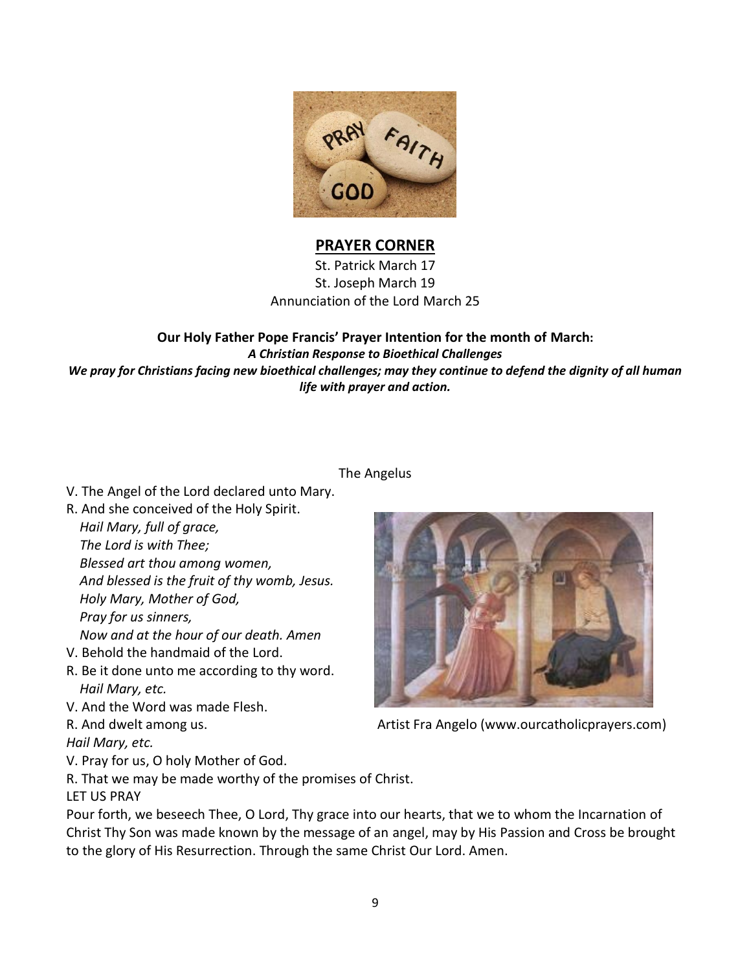

## **PRAYER CORNER**

St. Patrick March 17 St. Joseph March 19 Annunciation of the Lord March 25

**Our Holy Father Pope Francis' Prayer Intention for the month of March:** *A Christian Response to Bioethical Challenges We pray for Christians facing new bioethical challenges; may they continue to defend the dignity of all human life with prayer and action.*

#### The Angelus

- V. The Angel of the Lord declared unto Mary.
- R. And she conceived of the Holy Spirit.

 *Hail Mary, full of grace, The Lord is with Thee; Blessed art thou among women, And blessed is the fruit of thy womb, Jesus. Holy Mary, Mother of God, Pray for us sinners, Now and at the hour of our death. Amen*

- V. Behold the handmaid of the Lord.
- R. Be it done unto me according to thy word. *Hail Mary, etc.*
- V. And the Word was made Flesh.
- 

*Hail Mary, etc.*

- V. Pray for us, O holy Mother of God.
- R. That we may be made worthy of the promises of Christ.

LET US PRAY

Pour forth, we beseech Thee, O Lord, Thy grace into our hearts, that we to whom the Incarnation of Christ Thy Son was made known by the message of an angel, may by His Passion and Cross be brought to the glory of His Resurrection. Through the same Christ Our Lord. Amen.



R. And dwelt among us. The Community of Artist Fra Angelo [\(www.ourcatholicprayers.com\)](http://www.ourcatholicprayers.com/)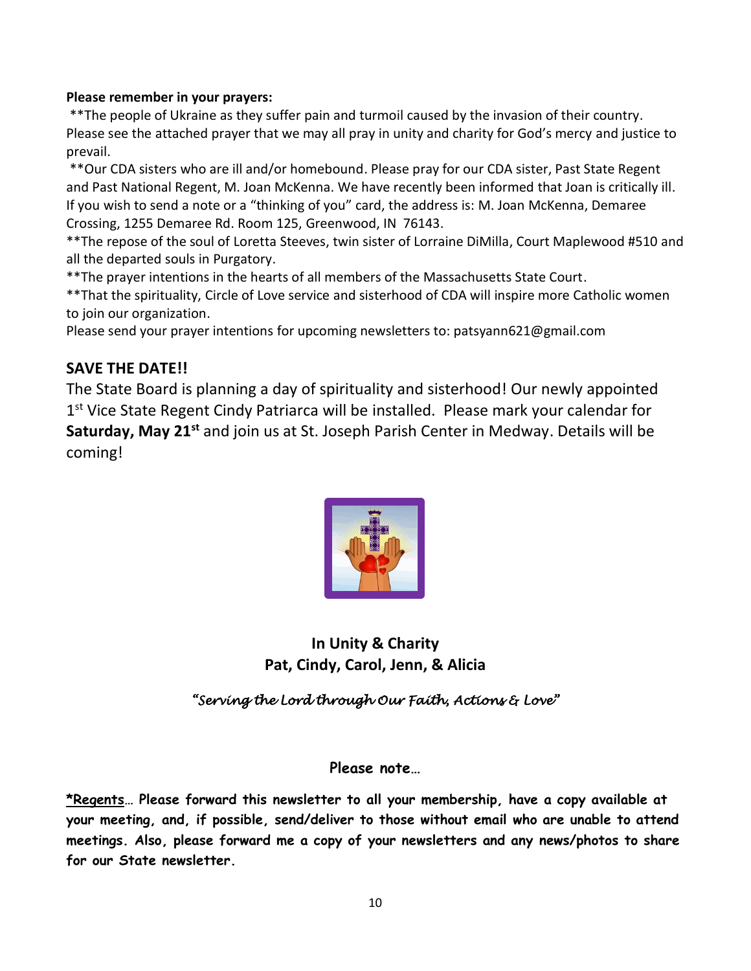#### **Please remember in your prayers:**

\*\*The people of Ukraine as they suffer pain and turmoil caused by the invasion of their country. Please see the attached prayer that we may all pray in unity and charity for God's mercy and justice to prevail.

\*\*Our CDA sisters who are ill and/or homebound. Please pray for our CDA sister, Past State Regent and Past National Regent, M. Joan McKenna. We have recently been informed that Joan is critically ill. If you wish to send a note or a "thinking of you" card, the address is: M. Joan McKenna, Demaree Crossing, 1255 Demaree Rd. Room 125, Greenwood, IN 76143.

\*\*The repose of the soul of Loretta Steeves, twin sister of Lorraine DiMilla, Court Maplewood #510 and all the departed souls in Purgatory.

\*\*The prayer intentions in the hearts of all members of the Massachusetts State Court.

\*\*That the spirituality, Circle of Love service and sisterhood of CDA will inspire more Catholic women to join our organization.

Please send your prayer intentions for upcoming newsletters to[: patsyann621@gmail.com](mailto:patsyann621@gmail.com)

# **SAVE THE DATE!!**

The State Board is planning a day of spirituality and sisterhood! Our newly appointed 1<sup>st</sup> Vice State Regent Cindy Patriarca will be installed. Please mark your calendar for **Saturday, May 21st** and join us at St. Joseph Parish Center in Medway. Details will be coming!



**In Unity & Charity Pat, Cindy, Carol, Jenn, & Alicia** 

*"Serving the Lord through Our Faith, Actions & Love"* 

## **Please note…**

**\*Regents… Please forward this newsletter to all your membership, have a copy available at your meeting, and, if possible, send/deliver to those without email who are unable to attend meetings. Also, please forward me a copy of your newsletters and any news/photos to share for our State newsletter.**